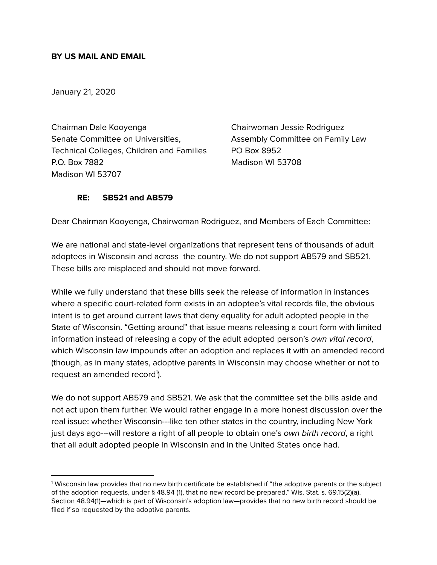### **BY US MAIL AND EMAIL**

January 21, 2020

Chairman Dale Kooyenga Chairwoman Jessie Rodriguez Senate Committee on Universities, Assembly Committee on Family Law Technical Colleges, Children and Families PO Box 8952 P.O. Box 7882 Madison WI 53708 Madison WI 53707

#### **RE: SB521 and AB579**

Dear Chairman Kooyenga, Chairwoman Rodriguez, and Members of Each Committee:

We are national and state-level organizations that represent tens of thousands of adult adoptees in Wisconsin and across the country. We do not support AB579 and SB521. These bills are misplaced and should not move forward.

While we fully understand that these bills seek the release of information in instances where a specific court-related form exists in an adoptee's vital records file, the obvious intent is to get around current laws that deny equality for adult adopted people in the State of Wisconsin. "Getting around" that issue means releasing a court form with limited information instead of releasing a copy of the adult adopted person's own vital record, which Wisconsin law impounds after an adoption and replaces it with an amended record (though, as in many states, adoptive parents in Wisconsin may choose whether or not to request an amended record<sup>1</sup>).

We do not support AB579 and SB521. We ask that the committee set the bills aside and not act upon them further. We would rather engage in a more honest discussion over the real issue: whether Wisconsin---like ten other states in the country, including New York just days ago---will restore a right of all people to obtain one's own birth record, a right that all adult adopted people in Wisconsin and in the United States once had.

<sup>1</sup> Wisconsin law provides that no new birth certificate be established if "the adoptive parents or the subject of the adoption requests, under § 48.94 (1), that no new record be prepared." Wis. Stat. s. 69.15(2)(a). Section 48.94(1)—which is part of Wisconsin's adoption law—provides that no new birth record should be filed if so requested by the adoptive parents.